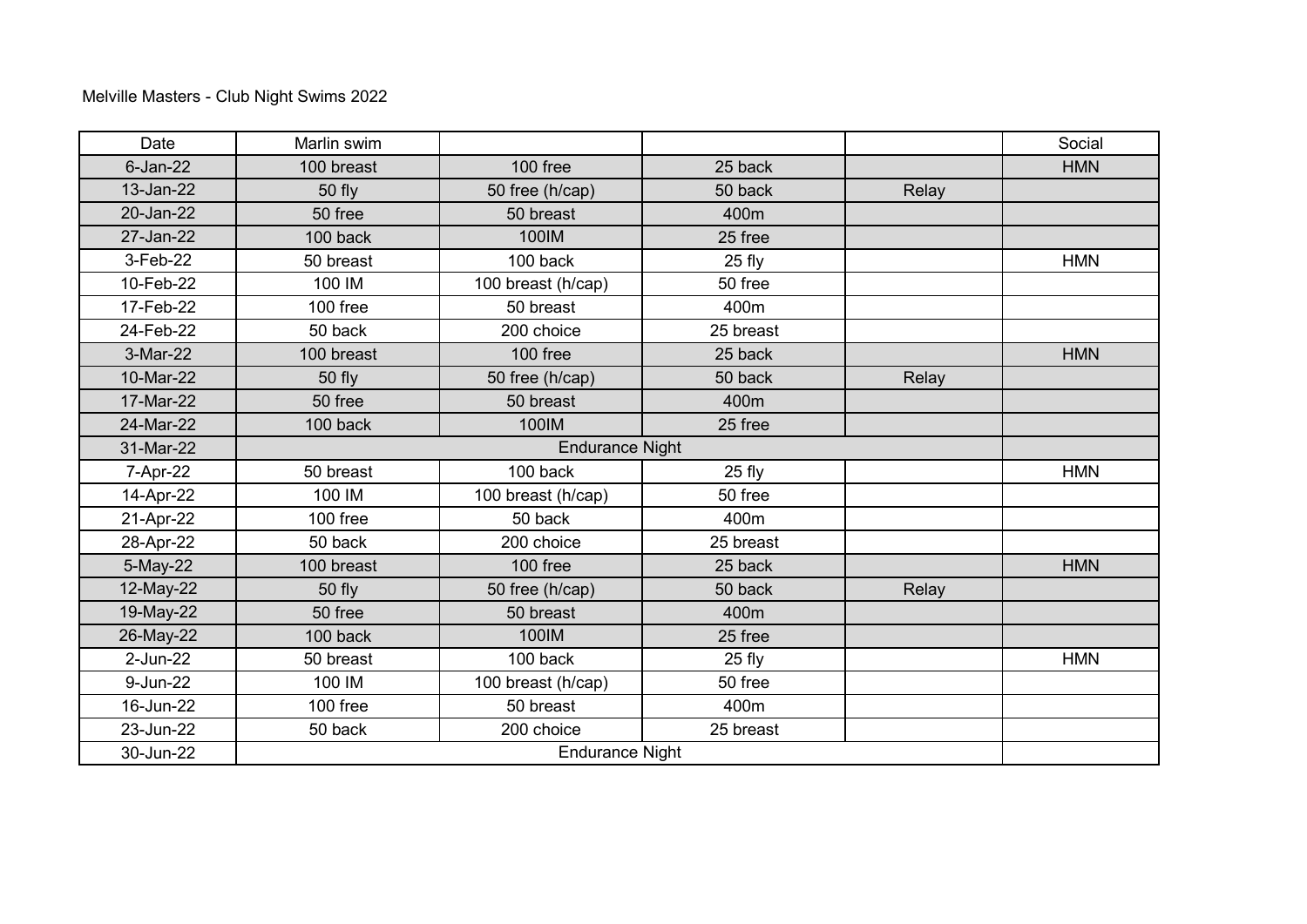| Date        | Marlin swim |                    |           |       | Social     |
|-------------|-------------|--------------------|-----------|-------|------------|
| $6$ -Jan-22 | 100 breast  | 100 free           | 25 back   |       | <b>HMN</b> |
| 13-Jan-22   | 50 fly      | 50 free (h/cap)    | 50 back   | Relay |            |
| 20-Jan-22   | 50 free     | 50 breast          | 400m      |       |            |
| 27-Jan-22   | 100 back    | 100IM              | 25 free   |       |            |
| 3-Feb-22    | 50 breast   | 100 back           | $25$ fly  |       | <b>HMN</b> |
| 10-Feb-22   | 100 IM      | 100 breast (h/cap) | 50 free   |       |            |
| 17-Feb-22   | 100 free    | 50 breast          | 400m      |       |            |
| 24-Feb-22   | 50 back     | 200 choice         | 25 breast |       |            |
| 3-Mar-22    | 100 breast  | 100 free           | 25 back   |       | <b>HMN</b> |
| 10-Mar-22   | 50 fly      | 50 free (h/cap)    | 50 back   | Relay |            |
| 17-Mar-22   | 50 free     | 50 breast          | 400m      |       |            |
| 24-Mar-22   | 100 back    | 100IM              | 25 free   |       |            |
| 31-Mar-22   |             |                    |           |       |            |
| 7-Apr-22    | 50 breast   | 100 back           | $25$ fly  |       | <b>HMN</b> |
| 14-Apr-22   | 100 IM      | 100 breast (h/cap) | 50 free   |       |            |
| 21-Apr-22   | 100 free    | 50 back            | 400m      |       |            |
| 28-Apr-22   | 50 back     | 200 choice         | 25 breast |       |            |
| 5-May-22    | 100 breast  | 100 free           | 25 back   |       | <b>HMN</b> |
| 12-May-22   | 50 fly      | 50 free (h/cap)    | 50 back   | Relay |            |
| 19-May-22   | 50 free     | 50 breast          | 400m      |       |            |
| 26-May-22   | 100 back    | 100IM              | 25 free   |       |            |
| 2-Jun-22    | 50 breast   | 100 back           | $25$ fly  |       | <b>HMN</b> |
| 9-Jun-22    | 100 IM      | 100 breast (h/cap) | 50 free   |       |            |
| 16-Jun-22   | 100 free    | 50 breast          | 400m      |       |            |
| 23-Jun-22   | 50 back     | 200 choice         | 25 breast |       |            |
| 30-Jun-22   |             |                    |           |       |            |